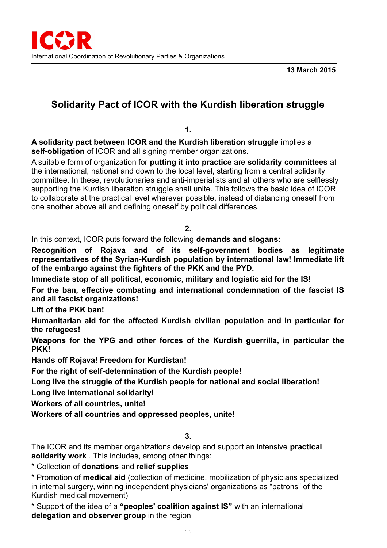**13 March 2015**

# **Solidarity Pact of ICOR with the Kurdish liberation struggle**

**1.**

**A solidarity pact between ICOR and the Kurdish liberation struggle** implies a **self-obligation** of ICOR and all signing member organizations.

A suitable form of organization for **putting it into practice** are **solidarity committees** at the international, national and down to the local level, starting from a central solidarity committee. In these, revolutionaries and anti-imperialists and all others who are selflessly supporting the Kurdish liberation struggle shall unite. This follows the basic idea of ICOR to collaborate at the practical level wherever possible, instead of distancing oneself from one another above all and defining oneself by political differences.

## **2.**

In this context, ICOR puts forward the following **demands and slogans**:

**Recognition of Rojava and of its self-government bodies as legitimate representatives of the Syrian-Kurdish population by international law! Immediate lift of the embargo against the fighters of the PKK and the PYD.**

**Immediate stop of all political, economic, military and logistic aid for the IS!**

**For the ban, effective combating and international condemnation of the fascist IS and all fascist organizations!**

**Lift of the PKK ban!**

**Humanitarian aid for the affected Kurdish civilian population and in particular for the refugees!**

**Weapons for the YPG and other forces of the Kurdish guerrilla, in particular the PKK!**

**Hands off Rojava! Freedom for Kurdistan!**

**For the right of self-determination of the Kurdish people!**

**Long live the struggle of the Kurdish people for national and social liberation!**

**Long live international solidarity!**

**Workers of all countries, unite!**

**Workers of all countries and oppressed peoples, unite!**

**3.**

The ICOR and its member organizations develop and support an intensive **practical solidarity work** . This includes, among other things:

\* Collection of **donations** and **relief supplies**

\* Promotion of **medical aid** (collection of medicine, mobilization of physicians specialized in internal surgery, winning independent physicians' organizations as "patrons" of the Kurdish medical movement)

\* Support of the idea of a **"peoples' coalition against IS"** with an international **delegation and observer group** in the region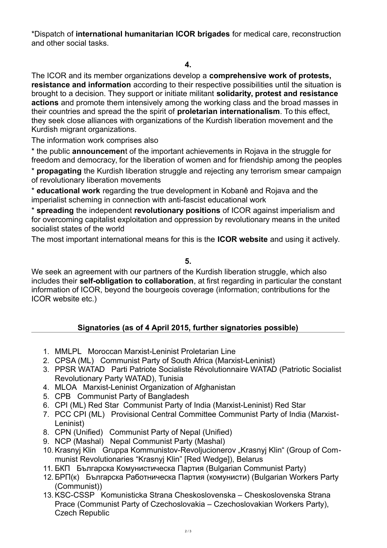\*Dispatch of **international humanitarian ICOR brigades** for medical care, reconstruction and other social tasks.

#### **4.**

The ICOR and its member organizations develop a **comprehensive work of protests, resistance and information** according to their respective possibilities until the situation is brought to a decision. They support or initiate militant **solidarity, protest and resistance actions** and promote them intensively among the working class and the broad masses in their countries and spread the the spirit of **proletarian internationalism**. To this effect, they seek close alliances with organizations of the Kurdish liberation movement and the Kurdish migrant organizations.

The information work comprises also

\* the public **announcemen**t of the important achievements in Rojava in the struggle for freedom and democracy, for the liberation of women and for friendship among the peoples

\* **propagating** the Kurdish liberation struggle and rejecting any terrorism smear campaign of revolutionary liberation movements

\* **educational work** regarding the true development in Kobanê and Rojava and the imperialist scheming in connection with anti-fascist educational work

\* **spreading** the independent **revolutionary positions** of ICOR against imperialism and for overcoming capitalist exploitation and oppression by revolutionary means in the united socialist states of the world

The most important international means for this is the **ICOR website** and using it actively.

#### **5.**

We seek an agreement with our partners of the Kurdish liberation struggle, which also includes their **self-obligation to collaboration**, at first regarding in particular the constant information of ICOR, beyond the bourgeois coverage (information; contributions for the ICOR website etc.)

## **Signatories (as of 4 April 2015, further signatories possible)**

- 1. MMLPL Moroccan Marxist-Leninist Proletarian Line
- 2. CPSA (ML) Communist Party of South Africa (Marxist-Leninist)
- 3. PPSR WATAD Parti Patriote Socialiste Révolutionnaire WATAD (Patriotic Socialist Revolutionary Party WATAD), Tunisia
- 4. MLOA Marxist-Leninist Organization of Afghanistan
- 5. CPB Communist Party of Bangladesh
- 6. CPI (ML) Red Star Communist Party of India (Marxist-Leninist) Red Star
- 7. PCC CPI (ML) Provisional Central Committee Communist Party of India (Marxist-Leninist)
- 8. CPN (Unified) Communist Party of Nepal (Unified)
- 9. NCP (Mashal) Nepal Communist Party (Mashal)
- 10. Krasnyj Klin Gruppa Kommunistov-Revoljucionerov "Krasnyj Klin" (Group of Communist Revolutionaries "Krasnyj Klin" [Red Wedge]), Belarus
- 11. БКП Българска Комунистическа Партия (Bulgarian Communist Party)
- 12. БРП(к) Българска Работническа Партия (комунисти) (Bulgarian Workers Party (Communist))
- 13. KSC-CSSP Komunisticka Strana Cheskoslovenska Cheskoslovenska Strana Prace (Communist Party of Czechoslovakia – Czechoslovakian Workers Party), Czech Republic